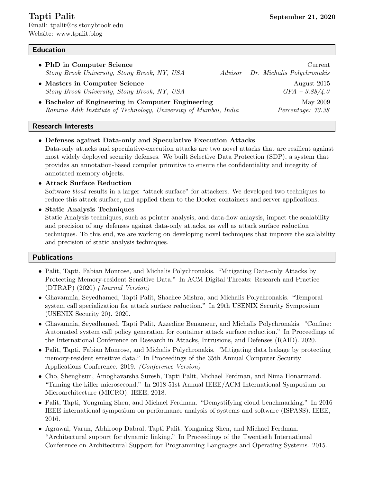Email: tpalit@cs.stonybrook.edu Website: www.tpalit.blog

# Education

- PhD in Computer Science Current Current Current Current Current Current Current Current Current Current Current Current Current Current Current Current Current Current Current Current Current Current Current Current Curr Stony Brook University, Stony Brook, NY, USA Advisor – Dr. Michalis Polychronakis
- Masters in Computer Science August 2015  $Strong \: Brook \: University, \: Story \: Brook, \: NY, \: USA \: \hspace{1.5cm} GPA - 3.88/4.0$
- Bachelor of Engineering in Computer Engineering May 2009 Ramrao Adik Institute of Technology, University of Mumbai, India Percentage: 73.38

#### Research Interests

- Defenses against Data-only and Speculative Execution Attacks Data-only attacks and speculative-execution attacks are two novel attacks that are resilient against most widely deployed security defenses. We built Selective Data Protection (SDP), a system that provides an annotation-based compiler primitive to ensure the confidentiality and integrity of annotated memory objects.
- Attack Surface Reduction Software bloat results in a larger "attack surface" for attackers. We developed two techniques to reduce this attack surface, and applied them to the Docker containers and server applications.
- Static Analysis Techniques Static Analysis techniques, such as pointer analysis, and data-flow anlaysis, impact the scalability and precision of any defenses against data-only attacks, as well as attack surface reduction techniques. To this end, we are working on developing novel techniques that improve the scalability and precision of static analysis techniques.

### Publications

- Palit, Tapti, Fabian Monrose, and Michalis Polychronakis. "Mitigating Data-only Attacks by Protecting Memory-resident Sensitive Data." In ACM Digital Threats: Research and Practice (DTRAP) (2020) (Journal Version)
- Ghavamnia, Seyedhamed, Tapti Palit, Shachee Mishra, and Michalis Polychronakis. "Temporal system call specialization for attack surface reduction." In 29th USENIX Security Symposium (USENIX Security 20). 2020.
- Ghavamnia, Seyedhamed, Tapti Palit, Azzedine Benameur, and Michalis Polychronakis. "Confine: Automated system call policy generation for container attack surface reduction." In Proceedings of the International Conference on Research in Attacks, Intrusions, and Defenses (RAID). 2020.
- Palit, Tapti, Fabian Monrose, and Michalis Polychronakis. "Mitigating data leakage by protecting memory-resident sensitive data." In Proceedings of the 35th Annual Computer Security Applications Conference. 2019. (Conference Version)
- Cho, Shenghsun, Amoghavarsha Suresh, Tapti Palit, Michael Ferdman, and Nima Honarmand. "Taming the killer microsecond." In 2018 51st Annual IEEE/ACM International Symposium on Microarchitecture (MICRO). IEEE, 2018.
- Palit, Tapti, Yongming Shen, and Michael Ferdman. "Demystifying cloud benchmarking." In 2016 IEEE international symposium on performance analysis of systems and software (ISPASS). IEEE, 2016.
- Agrawal, Varun, Abhiroop Dabral, Tapti Palit, Yongming Shen, and Michael Ferdman. "Architectural support for dynamic linking." In Proceedings of the Twentieth International Conference on Architectural Support for Programming Languages and Operating Systems. 2015.